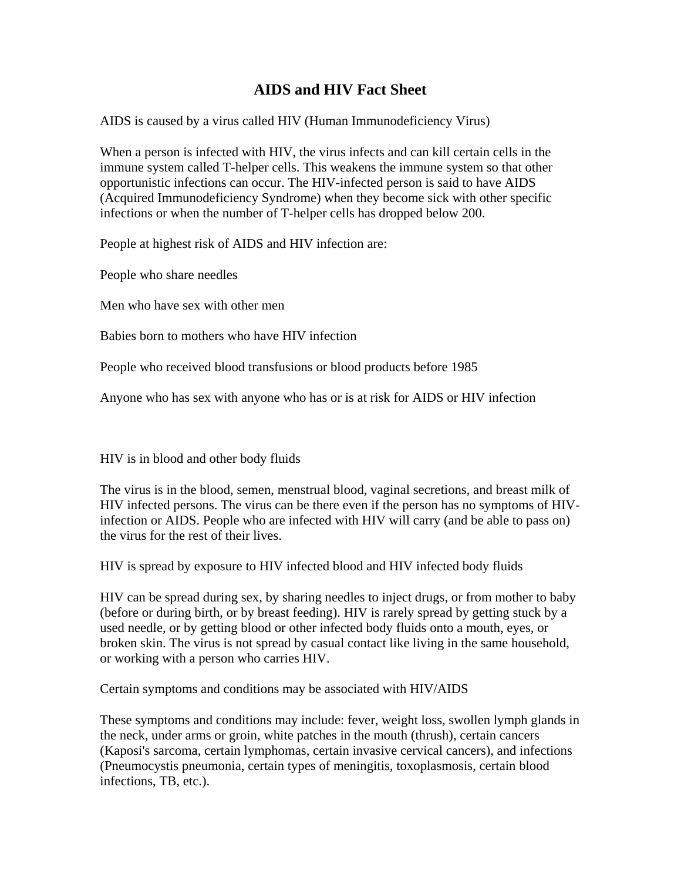## **AIDS and HIV Fact Sheet**

AIDS is caused by a virus called HIV (Human Immunodeficiency Virus)

When a person is infected with HIV, the virus infects and can kill certain cells in the immune system called T-helper cells. This weakens the immune system so that other opportunistic infections can occur. The HIV-infected person is said to have AIDS (Acquired Immunodeficiency Syndrome) when they become sick with other specific infections or when the number of T-helper cells has dropped below 200.

People at highest risk of AIDS and HIV infection are:

People who share needles

Men who have sex with other men

Babies born to mothers who have HIV infection

People who received blood transfusions or blood products before 1985

Anyone who has sex with anyone who has or is at risk for AIDS or HIV infection

HIV is in blood and other body fluids

The virus is in the blood, semen, menstrual blood, vaginal secretions, and breast milk of HIV infected persons. The virus can be there even if the person has no symptoms of HIVinfection or AIDS. People who are infected with HIV will carry (and be able to pass on) the virus for the rest of their lives.

HIV is spread by exposure to HIV infected blood and HIV infected body fluids

HIV can be spread during sex, by sharing needles to inject drugs, or from mother to baby (before or during birth, or by breast feeding). HIV is rarely spread by getting stuck by a used needle, or by getting blood or other infected body fluids onto a mouth, eyes, or broken skin. The virus is not spread by casual contact like living in the same household, or working with a person who carries HIV.

Certain symptoms and conditions may be associated with HIV/AIDS

These symptoms and conditions may include: fever, weight loss, swollen lymph glands in the neck, under arms or groin, white patches in the mouth (thrush), certain cancers (Kaposi's sarcoma, certain lymphomas, certain invasive cervical cancers), and infections (Pneumocystis pneumonia, certain types of meningitis, toxoplasmosis, certain blood infections, TB, etc.).